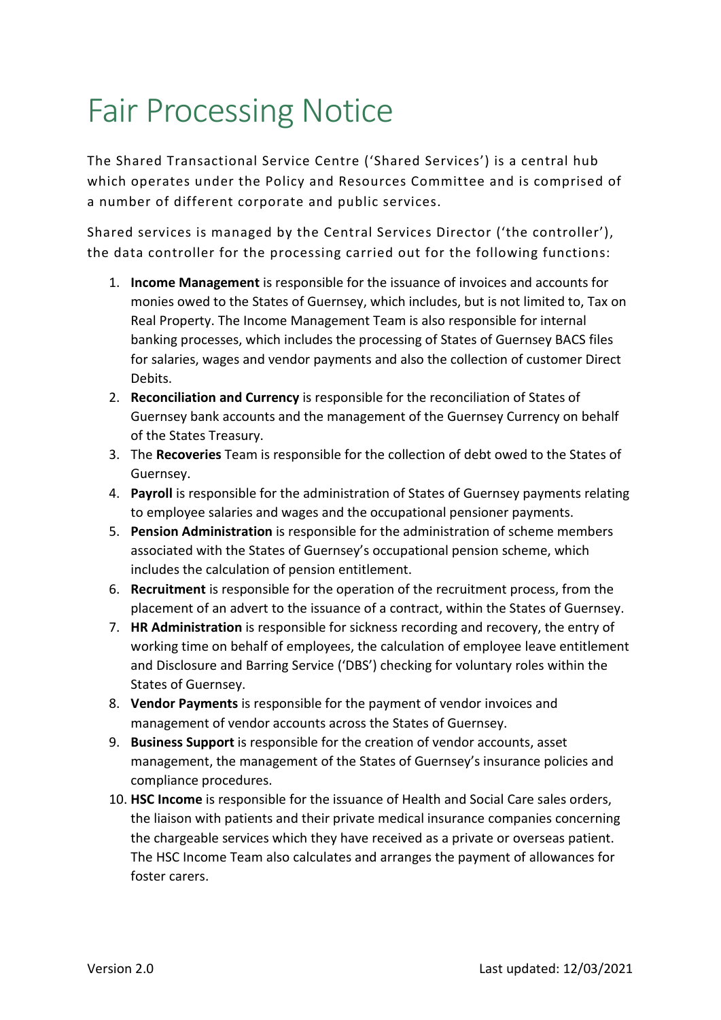## Fair Processing Notice

The Shared Transactional Service Centre ('Shared Services') is a central hub which operates under the Policy and Resources Committee and is comprised of a number of different corporate and public services.

Shared services is managed by the Central Services Director ('the controller'), the data controller for the processing carried out for the following functions:

- 1. **Income Management** is responsible for the issuance of invoices and accounts for monies owed to the States of Guernsey, which includes, but is not limited to, Tax on Real Property. The Income Management Team is also responsible for internal banking processes, which includes the processing of States of Guernsey BACS files for salaries, wages and vendor payments and also the collection of customer Direct Debits.
- 2. **Reconciliation and Currency** is responsible for the reconciliation of States of Guernsey bank accounts and the management of the Guernsey Currency on behalf of the States Treasury.
- 3. The **Recoveries** Team is responsible for the collection of debt owed to the States of Guernsey.
- 4. **Payroll** is responsible for the administration of States of Guernsey payments relating to employee salaries and wages and the occupational pensioner payments.
- 5. **Pension Administration** is responsible for the administration of scheme members associated with the States of Guernsey's occupational pension scheme, which includes the calculation of pension entitlement.
- 6. **Recruitment** is responsible for the operation of the recruitment process, from the placement of an advert to the issuance of a contract, within the States of Guernsey.
- 7. **HR Administration** is responsible for sickness recording and recovery, the entry of working time on behalf of employees, the calculation of employee leave entitlement and Disclosure and Barring Service ('DBS') checking for voluntary roles within the States of Guernsey.
- 8. **Vendor Payments** is responsible for the payment of vendor invoices and management of vendor accounts across the States of Guernsey.
- 9. **Business Support** is responsible for the creation of vendor accounts, asset management, the management of the States of Guernsey's insurance policies and compliance procedures.
- 10. **HSC Income** is responsible for the issuance of Health and Social Care sales orders, the liaison with patients and their private medical insurance companies concerning the chargeable services which they have received as a private or overseas patient. The HSC Income Team also calculates and arranges the payment of allowances for foster carers.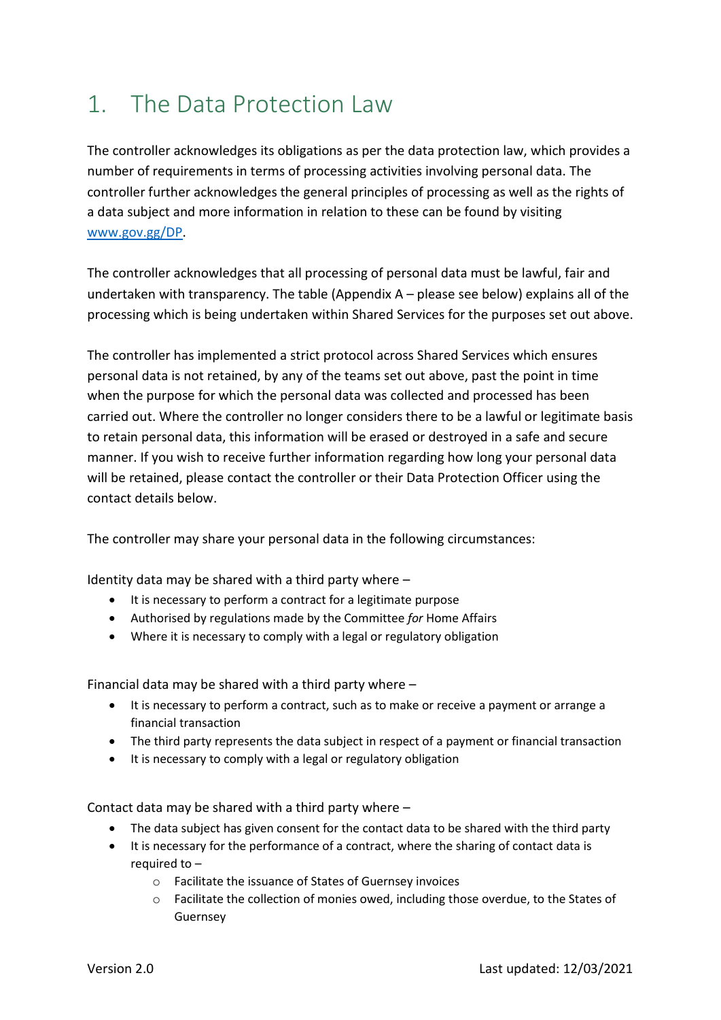## 1. The Data Protection Law

The controller acknowledges its obligations as per the data protection law, which provides a number of requirements in terms of processing activities involving personal data. The controller further acknowledges the general principles of processing as well as the rights of a data subject and more information in relation to these can be found by visiting www.gov.gg/DP.

The controller acknowledges that all processing of personal data must be lawful, fair and undertaken with transparency. The table (Appendix A – please see below) explains all of the processing which is being undertaken within Shared Services for the purposes set out above.

The controller has implemented a strict protocol across Shared Services which ensures personal data is not retained, by any of the teams set out above, past the point in time when the purpose for which the personal data was collected and processed has been carried out. Where the controller no longer considers there to be a lawful or legitimate basis to retain personal data, this information will be erased or destroyed in a safe and secure manner. If you wish to receive further information regarding how long your personal data will be retained, please contact the controller or their Data Protection Officer using the contact details below.

The controller may share your personal data in the following circumstances:

Identity data may be shared with a third party where –

- It is necessary to perform a contract for a legitimate purpose
- Authorised by regulations made by the Committee *for* Home Affairs
- Where it is necessary to comply with a legal or regulatory obligation

Financial data may be shared with a third party where –

- It is necessary to perform a contract, such as to make or receive a payment or arrange a financial transaction
- The third party represents the data subject in respect of a payment or financial transaction
- It is necessary to comply with a legal or regulatory obligation

Contact data may be shared with a third party where –

- The data subject has given consent for the contact data to be shared with the third party
- It is necessary for the performance of a contract, where the sharing of contact data is required to –
	- o Facilitate the issuance of States of Guernsey invoices
	- o Facilitate the collection of monies owed, including those overdue, to the States of Guernsey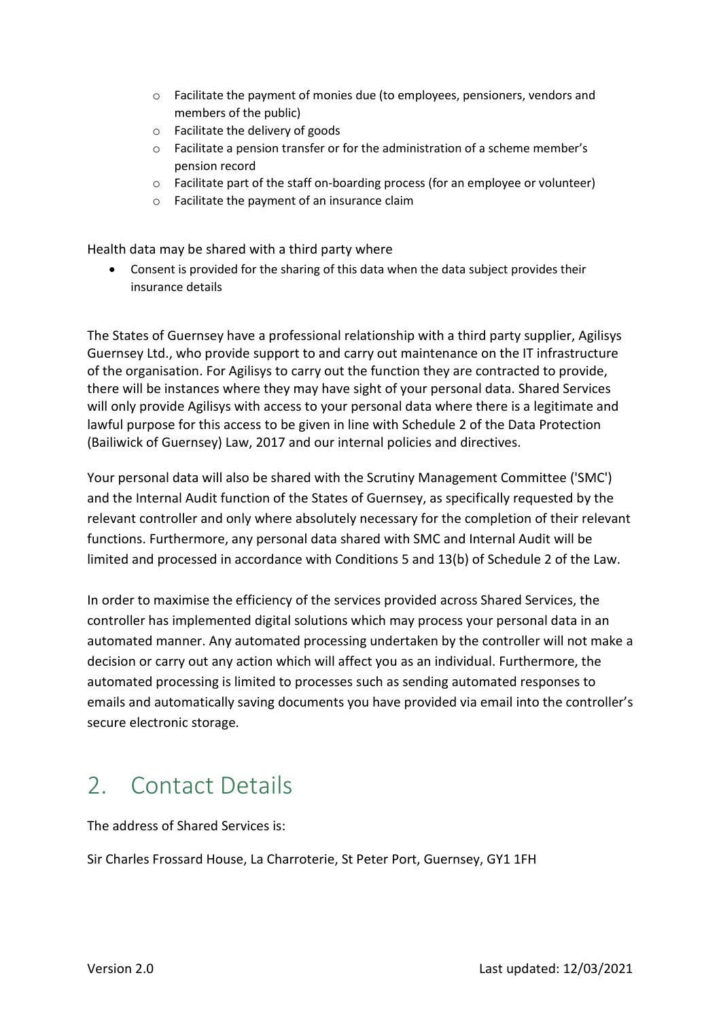- o Facilitate the payment of monies due (to employees, pensioners, vendors and members of the public)
- o Facilitate the delivery of goods
- o Facilitate a pension transfer or for the administration of a scheme member's pension record
- o Facilitate part of the staff on-boarding process (for an employee or volunteer)
- o Facilitate the payment of an insurance claim

Health data may be shared with a third party where

 Consent is provided for the sharing of this data when the data subject provides their insurance details

The States of Guernsey have a professional relationship with a third party supplier, Agilisys Guernsey Ltd., who provide support to and carry out maintenance on the IT infrastructure of the organisation. For Agilisys to carry out the function they are contracted to provide, there will be instances where they may have sight of your personal data. Shared Services will only provide Agilisys with access to your personal data where there is a legitimate and lawful purpose for this access to be given in line with Schedule 2 of the Data Protection (Bailiwick of Guernsey) Law, 2017 and our internal policies and directives.

Your personal data will also be shared with the Scrutiny Management Committee ('SMC') and the Internal Audit function of the States of Guernsey, as specifically requested by the relevant controller and only where absolutely necessary for the completion of their relevant functions. Furthermore, any personal data shared with SMC and Internal Audit will be limited and processed in accordance with Conditions 5 and 13(b) of Schedule 2 of the Law.

In order to maximise the efficiency of the services provided across Shared Services, the controller has implemented digital solutions which may process your personal data in an automated manner. Any automated processing undertaken by the controller will not make a decision or carry out any action which will affect you as an individual. Furthermore, the automated processing is limited to processes such as sending automated responses to emails and automatically saving documents you have provided via email into the controller's secure electronic storage.

## 2. Contact Details

The address of Shared Services is:

Sir Charles Frossard House, La Charroterie, St Peter Port, Guernsey, GY1 1FH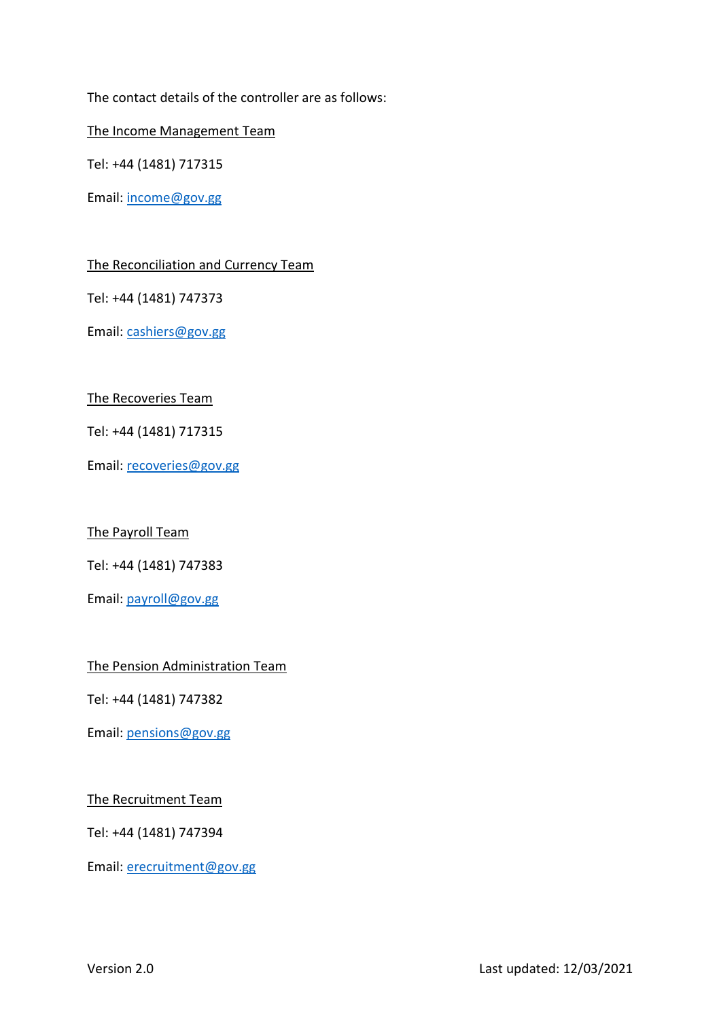The contact details of the controller are as follows:

The Income Management Team

Tel: +44 (1481) 717315

Email: income@gov.gg

The Reconciliation and Currency Team

Tel: +44 (1481) 747373

Email: cashiers@gov.gg

The Recoveries Team

Tel: +44 (1481) 717315

Email: recoveries@gov.gg

The Payroll Team

Tel: +44 (1481) 747383

Email: payroll@gov.gg

The Pension Administration Team

Tel: +44 (1481) 747382

Email: pensions@gov.gg

The Recruitment Team

Tel: +44 (1481) 747394

Email: erecruitment@gov.gg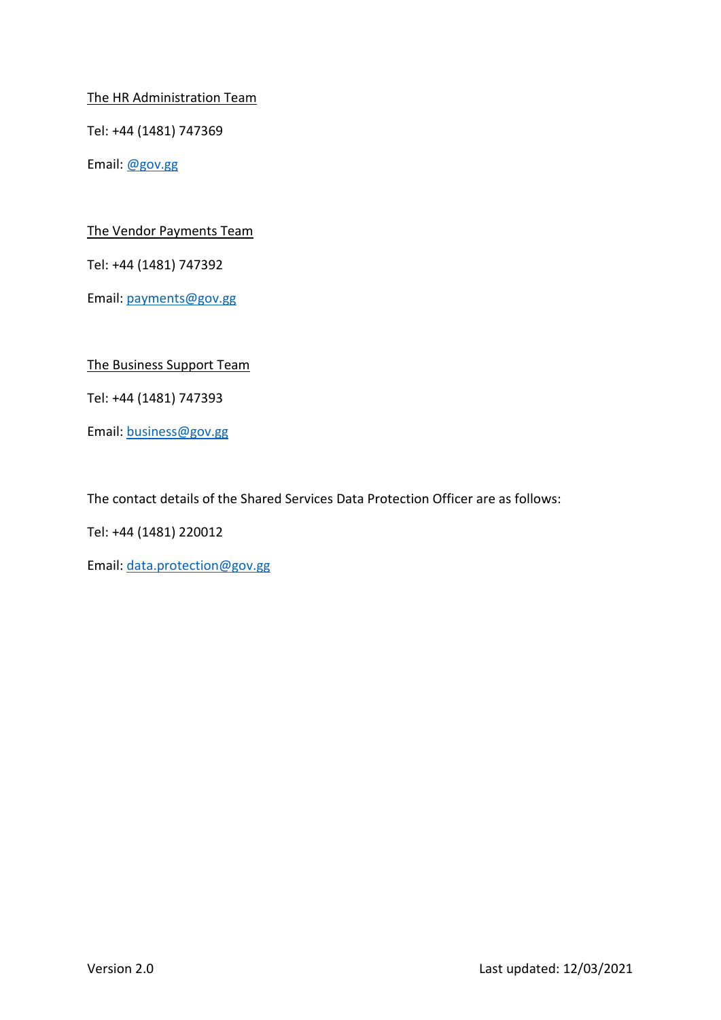The HR Administration Team

Tel: +44 (1481) 747369

Email: @gov.gg

The Vendor Payments Team

Tel: +44 (1481) 747392

Email: payments@gov.gg

The Business Support Team

Tel: +44 (1481) 747393

Email: business@gov.gg

The contact details of the Shared Services Data Protection Officer are as follows:

Tel: +44 (1481) 220012

Email: data.protection@gov.gg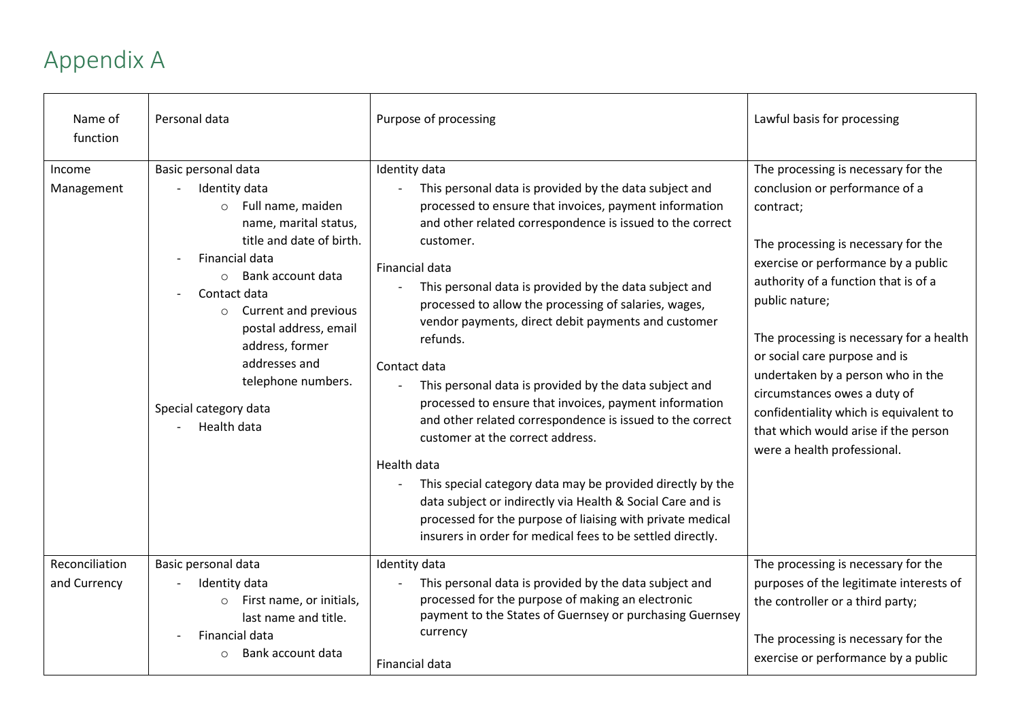## Appendix A

| Name of<br>function            | Personal data                                                                                                                                                                                                                                                                                                                                             | Purpose of processing                                                                                                                                                                                                                                                                                                                                                                                                                                                                                                                                                                                                                                                                                                                                                                                                                                                                                                           | Lawful basis for processing                                                                                                                                                                                                                                                                                                                                                                                                                                                                   |
|--------------------------------|-----------------------------------------------------------------------------------------------------------------------------------------------------------------------------------------------------------------------------------------------------------------------------------------------------------------------------------------------------------|---------------------------------------------------------------------------------------------------------------------------------------------------------------------------------------------------------------------------------------------------------------------------------------------------------------------------------------------------------------------------------------------------------------------------------------------------------------------------------------------------------------------------------------------------------------------------------------------------------------------------------------------------------------------------------------------------------------------------------------------------------------------------------------------------------------------------------------------------------------------------------------------------------------------------------|-----------------------------------------------------------------------------------------------------------------------------------------------------------------------------------------------------------------------------------------------------------------------------------------------------------------------------------------------------------------------------------------------------------------------------------------------------------------------------------------------|
| Income<br>Management           | Basic personal data<br>Identity data<br>Full name, maiden<br>$\circ$<br>name, marital status,<br>title and date of birth.<br>Financial data<br>Bank account data<br>$\circ$<br>Contact data<br>Current and previous<br>$\circ$<br>postal address, email<br>address, former<br>addresses and<br>telephone numbers.<br>Special category data<br>Health data | Identity data<br>This personal data is provided by the data subject and<br>processed to ensure that invoices, payment information<br>and other related correspondence is issued to the correct<br>customer.<br>Financial data<br>This personal data is provided by the data subject and<br>processed to allow the processing of salaries, wages,<br>vendor payments, direct debit payments and customer<br>refunds.<br>Contact data<br>This personal data is provided by the data subject and<br>processed to ensure that invoices, payment information<br>and other related correspondence is issued to the correct<br>customer at the correct address.<br>Health data<br>This special category data may be provided directly by the<br>data subject or indirectly via Health & Social Care and is<br>processed for the purpose of liaising with private medical<br>insurers in order for medical fees to be settled directly. | The processing is necessary for the<br>conclusion or performance of a<br>contract;<br>The processing is necessary for the<br>exercise or performance by a public<br>authority of a function that is of a<br>public nature;<br>The processing is necessary for a health<br>or social care purpose and is<br>undertaken by a person who in the<br>circumstances owes a duty of<br>confidentiality which is equivalent to<br>that which would arise if the person<br>were a health professional. |
| Reconciliation<br>and Currency | Basic personal data<br>Identity data<br>First name, or initials,<br>$\circ$<br>last name and title.<br>Financial data<br>Bank account data                                                                                                                                                                                                                | Identity data<br>This personal data is provided by the data subject and<br>processed for the purpose of making an electronic<br>payment to the States of Guernsey or purchasing Guernsey<br>currency<br>Financial data                                                                                                                                                                                                                                                                                                                                                                                                                                                                                                                                                                                                                                                                                                          | The processing is necessary for the<br>purposes of the legitimate interests of<br>the controller or a third party;<br>The processing is necessary for the<br>exercise or performance by a public                                                                                                                                                                                                                                                                                              |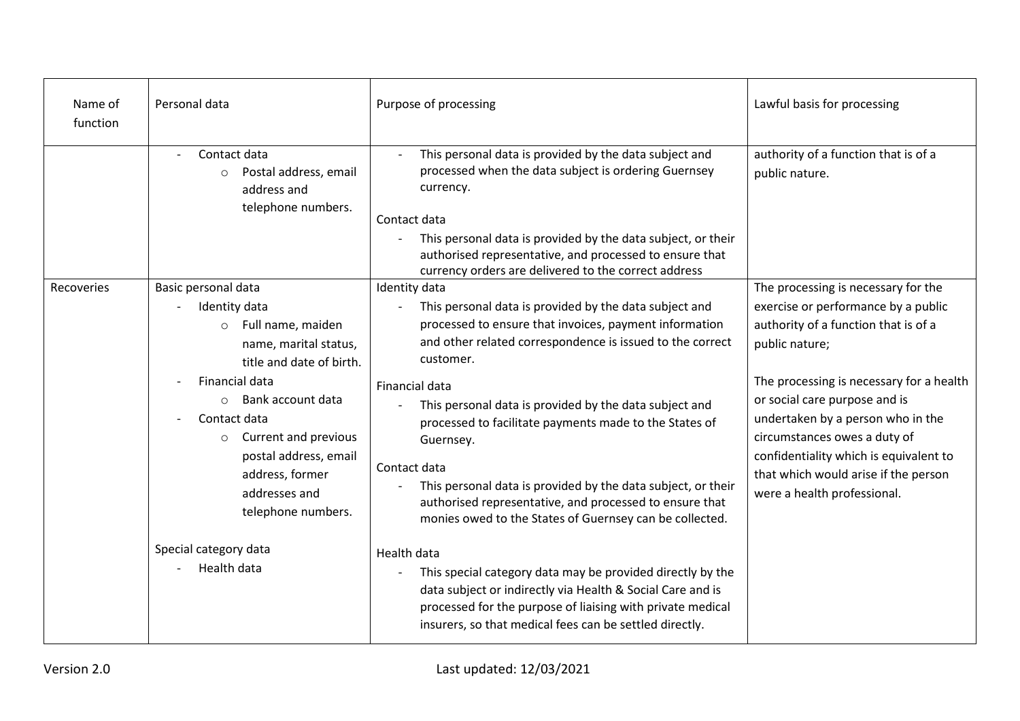| Name of<br>function | Personal data                                                                                                                                                                                                                                                                                                      | Purpose of processing                                                                                                                                                                                                                                                                                                                                                                                                                                                                                                                                                | Lawful basis for processing                                                                                                                                                                                                                                                                                                                                                                             |
|---------------------|--------------------------------------------------------------------------------------------------------------------------------------------------------------------------------------------------------------------------------------------------------------------------------------------------------------------|----------------------------------------------------------------------------------------------------------------------------------------------------------------------------------------------------------------------------------------------------------------------------------------------------------------------------------------------------------------------------------------------------------------------------------------------------------------------------------------------------------------------------------------------------------------------|---------------------------------------------------------------------------------------------------------------------------------------------------------------------------------------------------------------------------------------------------------------------------------------------------------------------------------------------------------------------------------------------------------|
|                     | Contact data<br>Postal address, email<br>$\circ$<br>address and<br>telephone numbers.                                                                                                                                                                                                                              | This personal data is provided by the data subject and<br>$\overline{a}$<br>processed when the data subject is ordering Guernsey<br>currency.<br>Contact data<br>This personal data is provided by the data subject, or their<br>authorised representative, and processed to ensure that<br>currency orders are delivered to the correct address                                                                                                                                                                                                                     | authority of a function that is of a<br>public nature.                                                                                                                                                                                                                                                                                                                                                  |
| Recoveries          | Basic personal data<br>Identity data<br>Full name, maiden<br>$\circ$<br>name, marital status,<br>title and date of birth.<br>Financial data<br>Bank account data<br>$\Omega$<br>Contact data<br>Current and previous<br>$\circ$<br>postal address, email<br>address, former<br>addresses and<br>telephone numbers. | Identity data<br>This personal data is provided by the data subject and<br>processed to ensure that invoices, payment information<br>and other related correspondence is issued to the correct<br>customer.<br>Financial data<br>This personal data is provided by the data subject and<br>processed to facilitate payments made to the States of<br>Guernsey.<br>Contact data<br>This personal data is provided by the data subject, or their<br>authorised representative, and processed to ensure that<br>monies owed to the States of Guernsey can be collected. | The processing is necessary for the<br>exercise or performance by a public<br>authority of a function that is of a<br>public nature;<br>The processing is necessary for a health<br>or social care purpose and is<br>undertaken by a person who in the<br>circumstances owes a duty of<br>confidentiality which is equivalent to<br>that which would arise if the person<br>were a health professional. |
|                     | Special category data<br>Health data                                                                                                                                                                                                                                                                               | Health data<br>This special category data may be provided directly by the<br>data subject or indirectly via Health & Social Care and is<br>processed for the purpose of liaising with private medical<br>insurers, so that medical fees can be settled directly.                                                                                                                                                                                                                                                                                                     |                                                                                                                                                                                                                                                                                                                                                                                                         |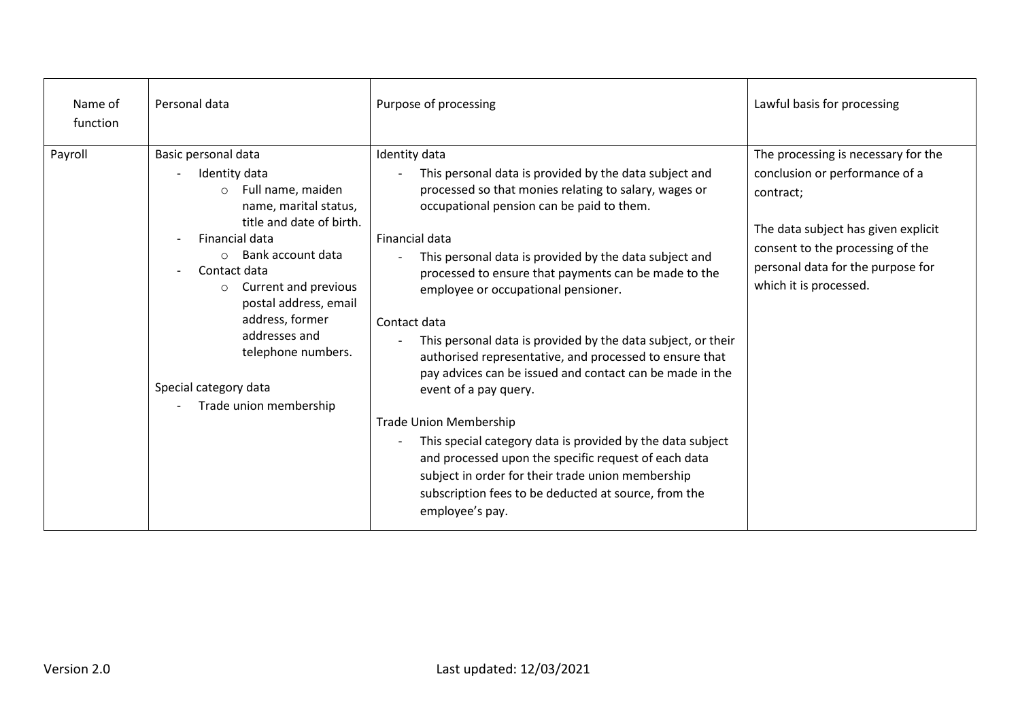| Name of<br>function | Personal data                                                                                                                                                                                                                                                                                                                                                        | Purpose of processing                                                                                                                                                                                                                                                                                                                                                                                                                                                                                                                                                                                                                                                                                                                                                                                                                                                                           | Lawful basis for processing                                                                                                                                                                                                  |
|---------------------|----------------------------------------------------------------------------------------------------------------------------------------------------------------------------------------------------------------------------------------------------------------------------------------------------------------------------------------------------------------------|-------------------------------------------------------------------------------------------------------------------------------------------------------------------------------------------------------------------------------------------------------------------------------------------------------------------------------------------------------------------------------------------------------------------------------------------------------------------------------------------------------------------------------------------------------------------------------------------------------------------------------------------------------------------------------------------------------------------------------------------------------------------------------------------------------------------------------------------------------------------------------------------------|------------------------------------------------------------------------------------------------------------------------------------------------------------------------------------------------------------------------------|
| Payroll             | Basic personal data<br>Identity data<br>Full name, maiden<br>$\circ$<br>name, marital status,<br>title and date of birth.<br>Financial data<br>Bank account data<br>$\circ$<br>Contact data<br>Current and previous<br>$\circ$<br>postal address, email<br>address, former<br>addresses and<br>telephone numbers.<br>Special category data<br>Trade union membership | Identity data<br>This personal data is provided by the data subject and<br>processed so that monies relating to salary, wages or<br>occupational pension can be paid to them.<br>Financial data<br>This personal data is provided by the data subject and<br>$\mathbf{r}$<br>processed to ensure that payments can be made to the<br>employee or occupational pensioner.<br>Contact data<br>This personal data is provided by the data subject, or their<br>authorised representative, and processed to ensure that<br>pay advices can be issued and contact can be made in the<br>event of a pay query.<br><b>Trade Union Membership</b><br>This special category data is provided by the data subject<br>and processed upon the specific request of each data<br>subject in order for their trade union membership<br>subscription fees to be deducted at source, from the<br>employee's pay. | The processing is necessary for the<br>conclusion or performance of a<br>contract;<br>The data subject has given explicit<br>consent to the processing of the<br>personal data for the purpose for<br>which it is processed. |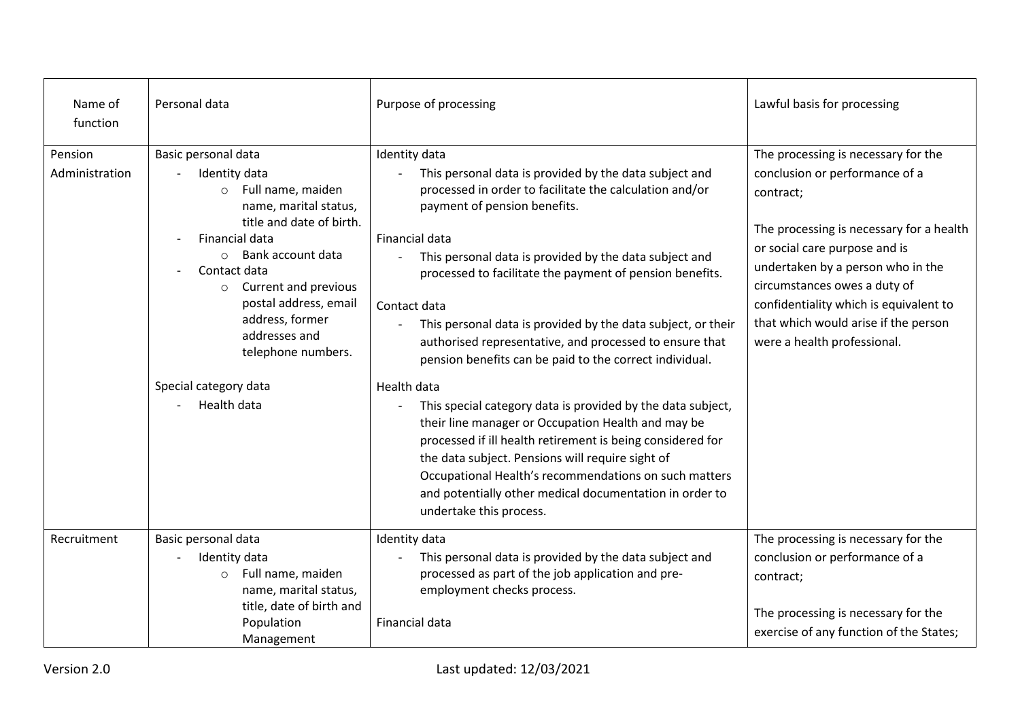| Name of<br>function       | Personal data                                                                                                                                                                                                                                                                                                     | Purpose of processing                                                                                                                                                                                                                                                                                                                                                                                                                                                                                            | Lawful basis for processing                                                                                                                                                                                                                                                                                                                           |
|---------------------------|-------------------------------------------------------------------------------------------------------------------------------------------------------------------------------------------------------------------------------------------------------------------------------------------------------------------|------------------------------------------------------------------------------------------------------------------------------------------------------------------------------------------------------------------------------------------------------------------------------------------------------------------------------------------------------------------------------------------------------------------------------------------------------------------------------------------------------------------|-------------------------------------------------------------------------------------------------------------------------------------------------------------------------------------------------------------------------------------------------------------------------------------------------------------------------------------------------------|
| Pension<br>Administration | Basic personal data<br>Identity data<br>Full name, maiden<br>$\circ$<br>name, marital status,<br>title and date of birth.<br>Financial data<br>Bank account data<br>$\circ$<br>Contact data<br>Current and previous<br>$\circ$<br>postal address, email<br>address, former<br>addresses and<br>telephone numbers. | Identity data<br>This personal data is provided by the data subject and<br>processed in order to facilitate the calculation and/or<br>payment of pension benefits.<br>Financial data<br>This personal data is provided by the data subject and<br>processed to facilitate the payment of pension benefits.<br>Contact data<br>This personal data is provided by the data subject, or their<br>authorised representative, and processed to ensure that<br>pension benefits can be paid to the correct individual. | The processing is necessary for the<br>conclusion or performance of a<br>contract;<br>The processing is necessary for a health<br>or social care purpose and is<br>undertaken by a person who in the<br>circumstances owes a duty of<br>confidentiality which is equivalent to<br>that which would arise if the person<br>were a health professional. |
|                           | Special category data<br>Health data                                                                                                                                                                                                                                                                              | Health data<br>This special category data is provided by the data subject,<br>their line manager or Occupation Health and may be<br>processed if ill health retirement is being considered for<br>the data subject. Pensions will require sight of<br>Occupational Health's recommendations on such matters<br>and potentially other medical documentation in order to<br>undertake this process.                                                                                                                |                                                                                                                                                                                                                                                                                                                                                       |
| Recruitment               | Basic personal data<br>Identity data<br>Full name, maiden<br>$\circ$<br>name, marital status,<br>title, date of birth and<br>Population<br>Management                                                                                                                                                             | Identity data<br>This personal data is provided by the data subject and<br>processed as part of the job application and pre-<br>employment checks process.<br>Financial data                                                                                                                                                                                                                                                                                                                                     | The processing is necessary for the<br>conclusion or performance of a<br>contract;<br>The processing is necessary for the<br>exercise of any function of the States;                                                                                                                                                                                  |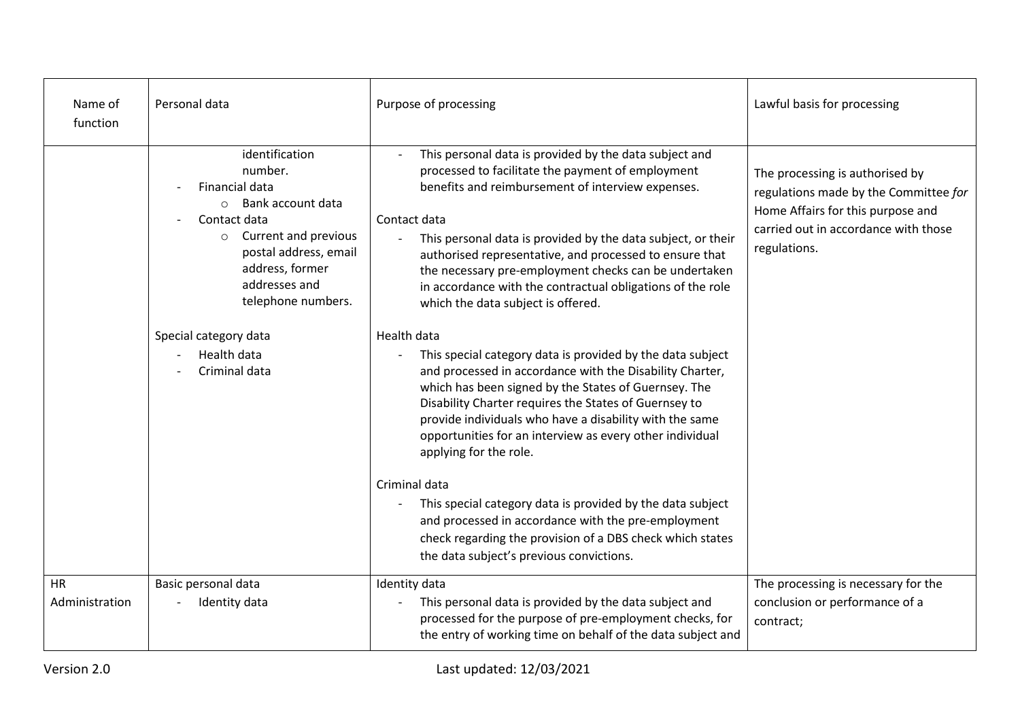| Name of<br>function         | Personal data                                                                                                                                                                                                                                                           | Purpose of processing                                                                                                                                                                                                                                                                                                                                                                                                                                                                                                                                                                                                                                                                                                                                                                                                                                                               | Lawful basis for processing                                                                                                                                           |
|-----------------------------|-------------------------------------------------------------------------------------------------------------------------------------------------------------------------------------------------------------------------------------------------------------------------|-------------------------------------------------------------------------------------------------------------------------------------------------------------------------------------------------------------------------------------------------------------------------------------------------------------------------------------------------------------------------------------------------------------------------------------------------------------------------------------------------------------------------------------------------------------------------------------------------------------------------------------------------------------------------------------------------------------------------------------------------------------------------------------------------------------------------------------------------------------------------------------|-----------------------------------------------------------------------------------------------------------------------------------------------------------------------|
|                             | identification<br>number.<br>Financial data<br>$\circ$ Bank account data<br>Contact data<br>Current and previous<br>$\circ$<br>postal address, email<br>address, former<br>addresses and<br>telephone numbers.<br>Special category data<br>Health data<br>Criminal data | This personal data is provided by the data subject and<br>processed to facilitate the payment of employment<br>benefits and reimbursement of interview expenses.<br>Contact data<br>This personal data is provided by the data subject, or their<br>authorised representative, and processed to ensure that<br>the necessary pre-employment checks can be undertaken<br>in accordance with the contractual obligations of the role<br>which the data subject is offered.<br>Health data<br>This special category data is provided by the data subject<br>and processed in accordance with the Disability Charter,<br>which has been signed by the States of Guernsey. The<br>Disability Charter requires the States of Guernsey to<br>provide individuals who have a disability with the same<br>opportunities for an interview as every other individual<br>applying for the role. | The processing is authorised by<br>regulations made by the Committee for<br>Home Affairs for this purpose and<br>carried out in accordance with those<br>regulations. |
|                             |                                                                                                                                                                                                                                                                         | Criminal data<br>This special category data is provided by the data subject<br>and processed in accordance with the pre-employment<br>check regarding the provision of a DBS check which states<br>the data subject's previous convictions.                                                                                                                                                                                                                                                                                                                                                                                                                                                                                                                                                                                                                                         |                                                                                                                                                                       |
| <b>HR</b><br>Administration | Basic personal data<br>Identity data                                                                                                                                                                                                                                    | Identity data<br>This personal data is provided by the data subject and<br>processed for the purpose of pre-employment checks, for<br>the entry of working time on behalf of the data subject and                                                                                                                                                                                                                                                                                                                                                                                                                                                                                                                                                                                                                                                                                   | The processing is necessary for the<br>conclusion or performance of a<br>contract;                                                                                    |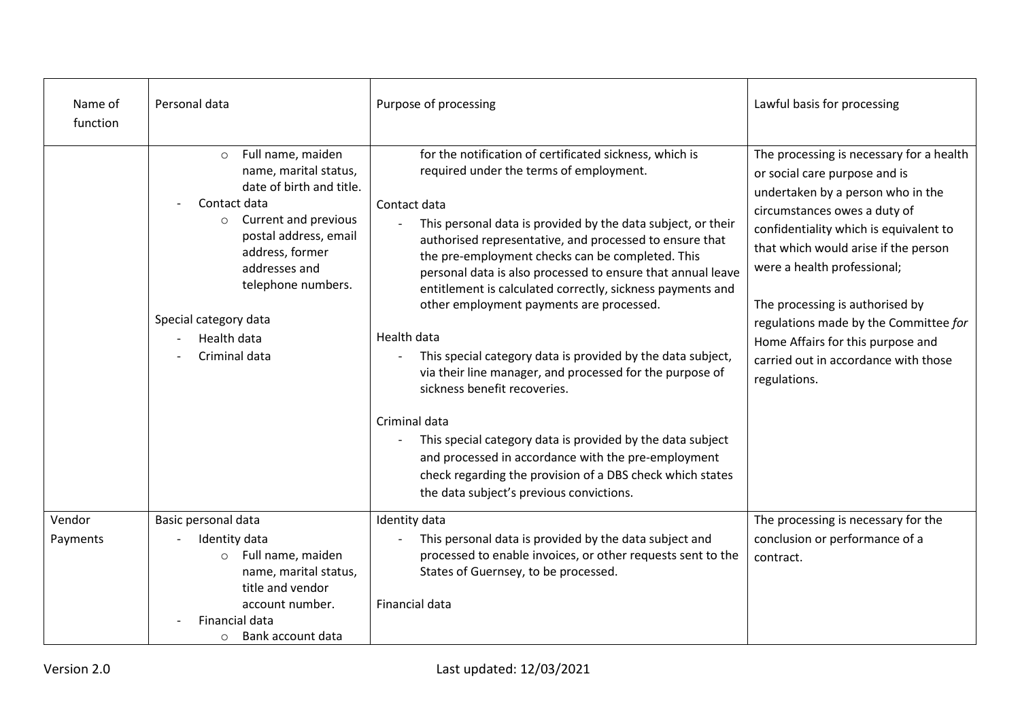| Name of<br>function | Personal data                                                                                                                                                                                                                                                                | Purpose of processing                                                                                                                                                                                                                                                                                                                                                                                                                                                                                                                                                                                                                                                                                                                                                                                                                                                                                                           | Lawful basis for processing                                                                                                                                                                                                                                                                                                                                                                                                              |
|---------------------|------------------------------------------------------------------------------------------------------------------------------------------------------------------------------------------------------------------------------------------------------------------------------|---------------------------------------------------------------------------------------------------------------------------------------------------------------------------------------------------------------------------------------------------------------------------------------------------------------------------------------------------------------------------------------------------------------------------------------------------------------------------------------------------------------------------------------------------------------------------------------------------------------------------------------------------------------------------------------------------------------------------------------------------------------------------------------------------------------------------------------------------------------------------------------------------------------------------------|------------------------------------------------------------------------------------------------------------------------------------------------------------------------------------------------------------------------------------------------------------------------------------------------------------------------------------------------------------------------------------------------------------------------------------------|
|                     | Full name, maiden<br>$\circ$<br>name, marital status,<br>date of birth and title.<br>Contact data<br><b>Current and previous</b><br>postal address, email<br>address, former<br>addresses and<br>telephone numbers.<br>Special category data<br>Health data<br>Criminal data | for the notification of certificated sickness, which is<br>required under the terms of employment.<br>Contact data<br>This personal data is provided by the data subject, or their<br>$\overline{\phantom{a}}$<br>authorised representative, and processed to ensure that<br>the pre-employment checks can be completed. This<br>personal data is also processed to ensure that annual leave<br>entitlement is calculated correctly, sickness payments and<br>other employment payments are processed.<br>Health data<br>This special category data is provided by the data subject,<br>via their line manager, and processed for the purpose of<br>sickness benefit recoveries.<br>Criminal data<br>This special category data is provided by the data subject<br>and processed in accordance with the pre-employment<br>check regarding the provision of a DBS check which states<br>the data subject's previous convictions. | The processing is necessary for a health<br>or social care purpose and is<br>undertaken by a person who in the<br>circumstances owes a duty of<br>confidentiality which is equivalent to<br>that which would arise if the person<br>were a health professional;<br>The processing is authorised by<br>regulations made by the Committee for<br>Home Affairs for this purpose and<br>carried out in accordance with those<br>regulations. |
| Vendor<br>Payments  | Basic personal data<br>Identity data<br>Full name, maiden<br>$\circ$<br>name, marital status,<br>title and vendor<br>account number.<br>Financial data<br>Bank account data<br>$\circ$                                                                                       | Identity data<br>This personal data is provided by the data subject and<br>processed to enable invoices, or other requests sent to the<br>States of Guernsey, to be processed.<br><b>Financial data</b>                                                                                                                                                                                                                                                                                                                                                                                                                                                                                                                                                                                                                                                                                                                         | The processing is necessary for the<br>conclusion or performance of a<br>contract.                                                                                                                                                                                                                                                                                                                                                       |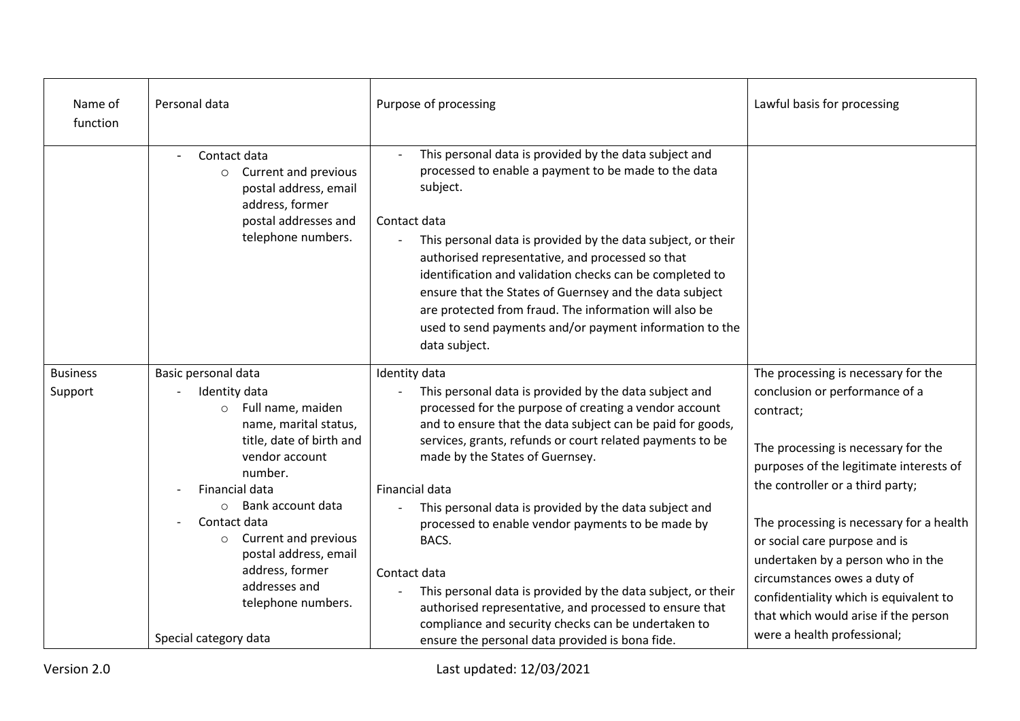| Name of<br>function | Personal data                                                                                                                                                                                                                                                                                                           | Purpose of processing                                                                                                                                                                                                                                                                                                                                                                                                                                                                                                                                               | Lawful basis for processing                                                                                                                                                                                                                                                                                                                                   |
|---------------------|-------------------------------------------------------------------------------------------------------------------------------------------------------------------------------------------------------------------------------------------------------------------------------------------------------------------------|---------------------------------------------------------------------------------------------------------------------------------------------------------------------------------------------------------------------------------------------------------------------------------------------------------------------------------------------------------------------------------------------------------------------------------------------------------------------------------------------------------------------------------------------------------------------|---------------------------------------------------------------------------------------------------------------------------------------------------------------------------------------------------------------------------------------------------------------------------------------------------------------------------------------------------------------|
|                     | Contact data<br>Current and previous<br>$\circ$<br>postal address, email<br>address, former<br>postal addresses and<br>telephone numbers.                                                                                                                                                                               | This personal data is provided by the data subject and<br>processed to enable a payment to be made to the data<br>subject.<br>Contact data<br>This personal data is provided by the data subject, or their<br>authorised representative, and processed so that<br>identification and validation checks can be completed to<br>ensure that the States of Guernsey and the data subject<br>are protected from fraud. The information will also be<br>used to send payments and/or payment information to the<br>data subject.                                         |                                                                                                                                                                                                                                                                                                                                                               |
| <b>Business</b>     | Basic personal data                                                                                                                                                                                                                                                                                                     | Identity data                                                                                                                                                                                                                                                                                                                                                                                                                                                                                                                                                       | The processing is necessary for the                                                                                                                                                                                                                                                                                                                           |
| Support             | Identity data<br>Full name, maiden<br>$\circ$<br>name, marital status,<br>title, date of birth and<br>vendor account<br>number.<br>Financial data<br>Bank account data<br>$\circ$<br>Contact data<br>Current and previous<br>$\circ$<br>postal address, email<br>address, former<br>addresses and<br>telephone numbers. | This personal data is provided by the data subject and<br>processed for the purpose of creating a vendor account<br>and to ensure that the data subject can be paid for goods,<br>services, grants, refunds or court related payments to be<br>made by the States of Guernsey.<br>Financial data<br>This personal data is provided by the data subject and<br>processed to enable vendor payments to be made by<br>BACS.<br>Contact data<br>This personal data is provided by the data subject, or their<br>authorised representative, and processed to ensure that | conclusion or performance of a<br>contract;<br>The processing is necessary for the<br>purposes of the legitimate interests of<br>the controller or a third party;<br>The processing is necessary for a health<br>or social care purpose and is<br>undertaken by a person who in the<br>circumstances owes a duty of<br>confidentiality which is equivalent to |
|                     | Special category data                                                                                                                                                                                                                                                                                                   | compliance and security checks can be undertaken to<br>ensure the personal data provided is bona fide.                                                                                                                                                                                                                                                                                                                                                                                                                                                              | that which would arise if the person<br>were a health professional;                                                                                                                                                                                                                                                                                           |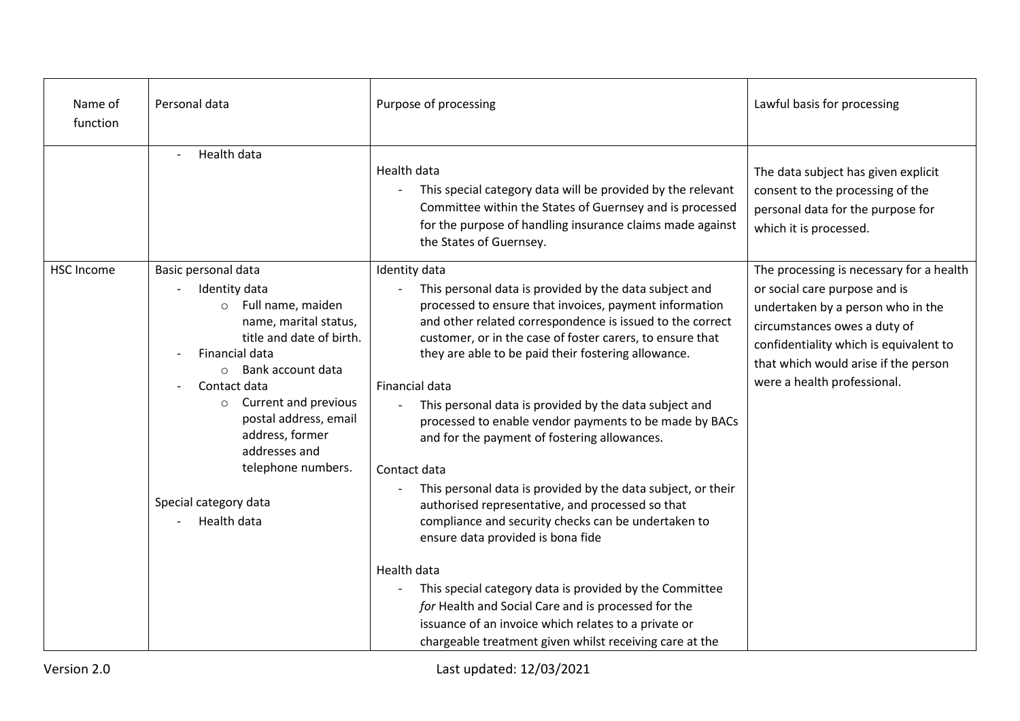| Name of<br>function | Personal data                                                                                                                                                                                                                                                                                                                                             | Purpose of processing                                                                                                                                                                                                                                                                                                                                                                                                                                                                                                                                                                                                                                                                                                                                                                                                                                                                                                                                                                                          | Lawful basis for processing                                                                                                                                                                                                                                     |
|---------------------|-----------------------------------------------------------------------------------------------------------------------------------------------------------------------------------------------------------------------------------------------------------------------------------------------------------------------------------------------------------|----------------------------------------------------------------------------------------------------------------------------------------------------------------------------------------------------------------------------------------------------------------------------------------------------------------------------------------------------------------------------------------------------------------------------------------------------------------------------------------------------------------------------------------------------------------------------------------------------------------------------------------------------------------------------------------------------------------------------------------------------------------------------------------------------------------------------------------------------------------------------------------------------------------------------------------------------------------------------------------------------------------|-----------------------------------------------------------------------------------------------------------------------------------------------------------------------------------------------------------------------------------------------------------------|
|                     | Health data                                                                                                                                                                                                                                                                                                                                               | Health data<br>This special category data will be provided by the relevant<br>Committee within the States of Guernsey and is processed<br>for the purpose of handling insurance claims made against<br>the States of Guernsey.                                                                                                                                                                                                                                                                                                                                                                                                                                                                                                                                                                                                                                                                                                                                                                                 | The data subject has given explicit<br>consent to the processing of the<br>personal data for the purpose for<br>which it is processed.                                                                                                                          |
| <b>HSC Income</b>   | Basic personal data<br>Identity data<br>Full name, maiden<br>$\circ$<br>name, marital status,<br>title and date of birth.<br>Financial data<br>Bank account data<br>$\circ$<br>Contact data<br>Current and previous<br>$\circ$<br>postal address, email<br>address, former<br>addresses and<br>telephone numbers.<br>Special category data<br>Health data | Identity data<br>This personal data is provided by the data subject and<br>$\overline{a}$<br>processed to ensure that invoices, payment information<br>and other related correspondence is issued to the correct<br>customer, or in the case of foster carers, to ensure that<br>they are able to be paid their fostering allowance.<br>Financial data<br>This personal data is provided by the data subject and<br>processed to enable vendor payments to be made by BACs<br>and for the payment of fostering allowances.<br>Contact data<br>This personal data is provided by the data subject, or their<br>authorised representative, and processed so that<br>compliance and security checks can be undertaken to<br>ensure data provided is bona fide<br>Health data<br>This special category data is provided by the Committee<br>for Health and Social Care and is processed for the<br>issuance of an invoice which relates to a private or<br>chargeable treatment given whilst receiving care at the | The processing is necessary for a health<br>or social care purpose and is<br>undertaken by a person who in the<br>circumstances owes a duty of<br>confidentiality which is equivalent to<br>that which would arise if the person<br>were a health professional. |